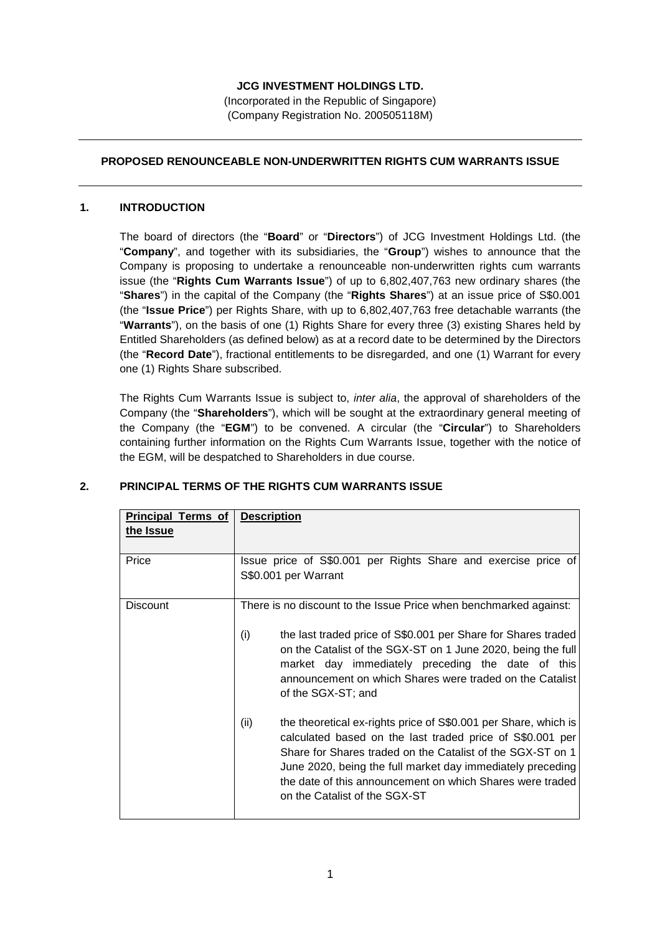### **JCG INVESTMENT HOLDINGS LTD.**

(Incorporated in the Republic of Singapore) (Company Registration No. 200505118M)

### **PROPOSED RENOUNCEABLE NON-UNDERWRITTEN RIGHTS CUM WARRANTS ISSUE**

#### **1. INTRODUCTION**

The board of directors (the "**Board**" or "**Directors**") of JCG Investment Holdings Ltd. (the "**Company**", and together with its subsidiaries, the "**Group**") wishes to announce that the Company is proposing to undertake a renounceable non-underwritten rights cum warrants issue (the "**Rights Cum Warrants Issue**") of up to 6,802,407,763 new ordinary shares (the "**Shares**") in the capital of the Company (the "**Rights Shares**") at an issue price of S\$0.001 (the "**Issue Price**") per Rights Share, with up to 6,802,407,763 free detachable warrants (the "**Warrants**"), on the basis of one (1) Rights Share for every three (3) existing Shares held by Entitled Shareholders (as defined below) as at a record date to be determined by the Directors (the "**Record Date**"), fractional entitlements to be disregarded, and one (1) Warrant for every one (1) Rights Share subscribed.

The Rights Cum Warrants Issue is subject to, *inter alia*, the approval of shareholders of the Company (the "**Shareholders**"), which will be sought at the extraordinary general meeting of the Company (the "**EGM**") to be convened. A circular (the "**Circular**") to Shareholders containing further information on the Rights Cum Warrants Issue, together with the notice of the EGM, will be despatched to Shareholders in due course.

| <b>Principal Terms of</b><br><u>Description</u>                                                                                                                                                                                                                                                                                                                                                                                                                                                                                                                                                                                                                                                                    |  |  |  |  |
|--------------------------------------------------------------------------------------------------------------------------------------------------------------------------------------------------------------------------------------------------------------------------------------------------------------------------------------------------------------------------------------------------------------------------------------------------------------------------------------------------------------------------------------------------------------------------------------------------------------------------------------------------------------------------------------------------------------------|--|--|--|--|
|                                                                                                                                                                                                                                                                                                                                                                                                                                                                                                                                                                                                                                                                                                                    |  |  |  |  |
| Issue price of S\$0.001 per Rights Share and exercise price of<br>S\$0.001 per Warrant                                                                                                                                                                                                                                                                                                                                                                                                                                                                                                                                                                                                                             |  |  |  |  |
| There is no discount to the Issue Price when benchmarked against:<br>(i)<br>the last traded price of S\$0.001 per Share for Shares traded<br>on the Catalist of the SGX-ST on 1 June 2020, being the full<br>market day immediately preceding the date of this<br>announcement on which Shares were traded on the Catalist<br>of the SGX-ST; and<br>(ii)<br>the theoretical ex-rights price of S\$0.001 per Share, which is<br>calculated based on the last traded price of S\$0.001 per<br>Share for Shares traded on the Catalist of the SGX-ST on 1<br>June 2020, being the full market day immediately preceding<br>the date of this announcement on which Shares were traded<br>on the Catalist of the SGX-ST |  |  |  |  |
|                                                                                                                                                                                                                                                                                                                                                                                                                                                                                                                                                                                                                                                                                                                    |  |  |  |  |

### **2. PRINCIPAL TERMS OF THE RIGHTS CUM WARRANTS ISSUE**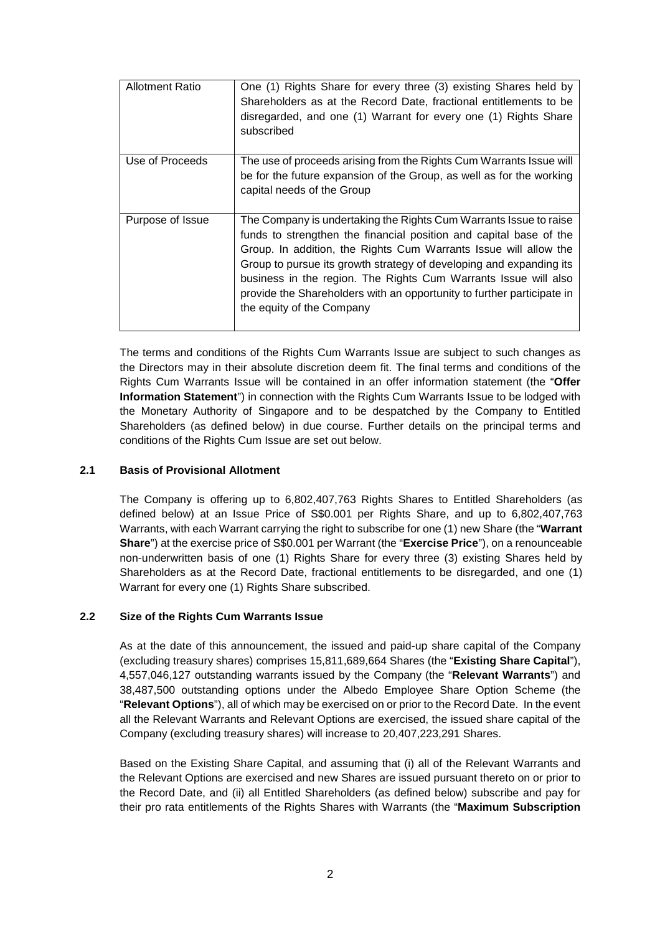| <b>Allotment Ratio</b> | One (1) Rights Share for every three (3) existing Shares held by<br>Shareholders as at the Record Date, fractional entitlements to be<br>disregarded, and one (1) Warrant for every one (1) Rights Share<br>subscribed                                                                                                                                                                                                                                       |
|------------------------|--------------------------------------------------------------------------------------------------------------------------------------------------------------------------------------------------------------------------------------------------------------------------------------------------------------------------------------------------------------------------------------------------------------------------------------------------------------|
| Use of Proceeds        | The use of proceeds arising from the Rights Cum Warrants Issue will<br>be for the future expansion of the Group, as well as for the working<br>capital needs of the Group                                                                                                                                                                                                                                                                                    |
| Purpose of Issue       | The Company is undertaking the Rights Cum Warrants Issue to raise<br>funds to strengthen the financial position and capital base of the<br>Group. In addition, the Rights Cum Warrants Issue will allow the<br>Group to pursue its growth strategy of developing and expanding its<br>business in the region. The Rights Cum Warrants Issue will also<br>provide the Shareholders with an opportunity to further participate in<br>the equity of the Company |

The terms and conditions of the Rights Cum Warrants Issue are subject to such changes as the Directors may in their absolute discretion deem fit. The final terms and conditions of the Rights Cum Warrants Issue will be contained in an offer information statement (the "**Offer Information Statement**") in connection with the Rights Cum Warrants Issue to be lodged with the Monetary Authority of Singapore and to be despatched by the Company to Entitled Shareholders (as defined below) in due course. Further details on the principal terms and conditions of the Rights Cum Issue are set out below.

#### **2.1 Basis of Provisional Allotment**

The Company is offering up to 6,802,407,763 Rights Shares to Entitled Shareholders (as defined below) at an Issue Price of S\$0.001 per Rights Share, and up to 6,802,407,763 Warrants, with each Warrant carrying the right to subscribe for one (1) new Share (the "**Warrant Share**") at the exercise price of S\$0.001 per Warrant (the "**Exercise Price**"), on a renounceable non-underwritten basis of one (1) Rights Share for every three (3) existing Shares held by Shareholders as at the Record Date, fractional entitlements to be disregarded, and one (1) Warrant for every one (1) Rights Share subscribed.

#### **2.2 Size of the Rights Cum Warrants Issue**

As at the date of this announcement, the issued and paid-up share capital of the Company (excluding treasury shares) comprises 15,811,689,664 Shares (the "**Existing Share Capital**"), 4,557,046,127 outstanding warrants issued by the Company (the "**Relevant Warrants**") and 38,487,500 outstanding options under the Albedo Employee Share Option Scheme (the "**Relevant Options**"), all of which may be exercised on or prior to the Record Date. In the event all the Relevant Warrants and Relevant Options are exercised, the issued share capital of the Company (excluding treasury shares) will increase to 20,407,223,291 Shares.

Based on the Existing Share Capital, and assuming that (i) all of the Relevant Warrants and the Relevant Options are exercised and new Shares are issued pursuant thereto on or prior to the Record Date, and (ii) all Entitled Shareholders (as defined below) subscribe and pay for their pro rata entitlements of the Rights Shares with Warrants (the "**Maximum Subscription**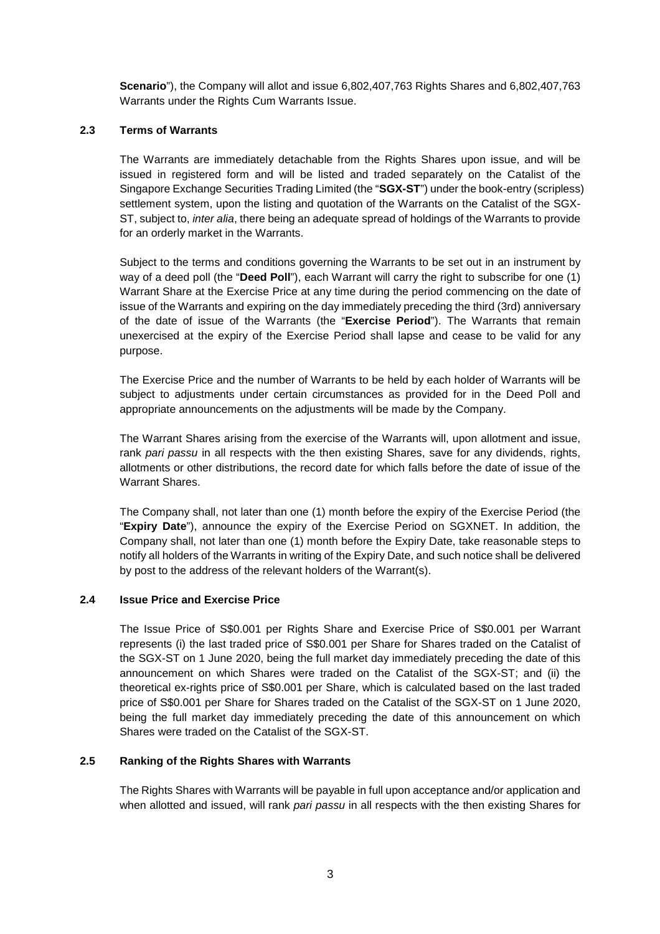**Scenario**"), the Company will allot and issue 6,802,407,763 Rights Shares and 6,802,407,763 Warrants under the Rights Cum Warrants Issue.

### **2.3 Terms of Warrants**

The Warrants are immediately detachable from the Rights Shares upon issue, and will be issued in registered form and will be listed and traded separately on the Catalist of the Singapore Exchange Securities Trading Limited (the "**SGX-ST**") under the book-entry (scripless) settlement system, upon the listing and quotation of the Warrants on the Catalist of the SGX-ST, subject to, *inter alia*, there being an adequate spread of holdings of the Warrants to provide for an orderly market in the Warrants.

Subject to the terms and conditions governing the Warrants to be set out in an instrument by way of a deed poll (the "**Deed Poll**"), each Warrant will carry the right to subscribe for one (1) Warrant Share at the Exercise Price at any time during the period commencing on the date of issue of the Warrants and expiring on the day immediately preceding the third (3rd) anniversary of the date of issue of the Warrants (the "**Exercise Period**"). The Warrants that remain unexercised at the expiry of the Exercise Period shall lapse and cease to be valid for any purpose.

The Exercise Price and the number of Warrants to be held by each holder of Warrants will be subject to adjustments under certain circumstances as provided for in the Deed Poll and appropriate announcements on the adjustments will be made by the Company.

The Warrant Shares arising from the exercise of the Warrants will, upon allotment and issue, rank pari passu in all respects with the then existing Shares, save for any dividends, rights, allotments or other distributions, the record date for which falls before the date of issue of the Warrant Shares.

The Company shall, not later than one (1) month before the expiry of the Exercise Period (the "**Expiry Date**"), announce the expiry of the Exercise Period on SGXNET. In addition, the Company shall, not later than one (1) month before the Expiry Date, take reasonable steps to notify all holders of the Warrants in writing of the Expiry Date, and such notice shall be delivered by post to the address of the relevant holders of the Warrant(s).

#### **2.4 Issue Price and Exercise Price**

The Issue Price of S\$0.001 per Rights Share and Exercise Price of S\$0.001 per Warrant represents (i) the last traded price of S\$0.001 per Share for Shares traded on the Catalist of the SGX-ST on 1 June 2020, being the full market day immediately preceding the date of this announcement on which Shares were traded on the Catalist of the SGX-ST; and (ii) the theoretical ex-rights price of S\$0.001 per Share, which is calculated based on the last traded price of S\$0.001 per Share for Shares traded on the Catalist of the SGX-ST on 1 June 2020, being the full market day immediately preceding the date of this announcement on which Shares were traded on the Catalist of the SGX-ST.

### **2.5 Ranking of the Rights Shares with Warrants**

The Rights Shares with Warrants will be payable in full upon acceptance and/or application and when allotted and issued, will rank pari passu in all respects with the then existing Shares for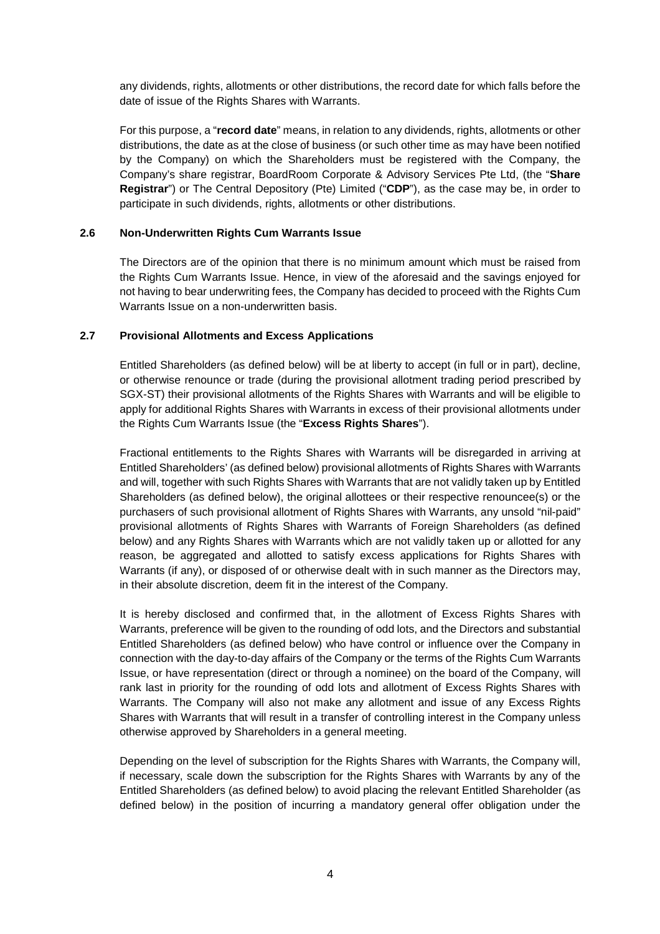any dividends, rights, allotments or other distributions, the record date for which falls before the date of issue of the Rights Shares with Warrants.

For this purpose, a "**record date**" means, in relation to any dividends, rights, allotments or other distributions, the date as at the close of business (or such other time as may have been notified by the Company) on which the Shareholders must be registered with the Company, the Company's share registrar, BoardRoom Corporate & Advisory Services Pte Ltd, (the "**Share Registrar**") or The Central Depository (Pte) Limited ("**CDP**"), as the case may be, in order to participate in such dividends, rights, allotments or other distributions.

### **2.6 Non-Underwritten Rights Cum Warrants Issue**

The Directors are of the opinion that there is no minimum amount which must be raised from the Rights Cum Warrants Issue. Hence, in view of the aforesaid and the savings enjoyed for not having to bear underwriting fees, the Company has decided to proceed with the Rights Cum Warrants Issue on a non-underwritten basis.

#### **2.7 Provisional Allotments and Excess Applications**

Entitled Shareholders (as defined below) will be at liberty to accept (in full or in part), decline, or otherwise renounce or trade (during the provisional allotment trading period prescribed by SGX-ST) their provisional allotments of the Rights Shares with Warrants and will be eligible to apply for additional Rights Shares with Warrants in excess of their provisional allotments under the Rights Cum Warrants Issue (the "**Excess Rights Shares**").

Fractional entitlements to the Rights Shares with Warrants will be disregarded in arriving at Entitled Shareholders' (as defined below) provisional allotments of Rights Shares with Warrants and will, together with such Rights Shares with Warrants that are not validly taken up by Entitled Shareholders (as defined below), the original allottees or their respective renouncee(s) or the purchasers of such provisional allotment of Rights Shares with Warrants, any unsold "nil-paid" provisional allotments of Rights Shares with Warrants of Foreign Shareholders (as defined below) and any Rights Shares with Warrants which are not validly taken up or allotted for any reason, be aggregated and allotted to satisfy excess applications for Rights Shares with Warrants (if any), or disposed of or otherwise dealt with in such manner as the Directors may, in their absolute discretion, deem fit in the interest of the Company.

It is hereby disclosed and confirmed that, in the allotment of Excess Rights Shares with Warrants, preference will be given to the rounding of odd lots, and the Directors and substantial Entitled Shareholders (as defined below) who have control or influence over the Company in connection with the day-to-day affairs of the Company or the terms of the Rights Cum Warrants Issue, or have representation (direct or through a nominee) on the board of the Company, will rank last in priority for the rounding of odd lots and allotment of Excess Rights Shares with Warrants. The Company will also not make any allotment and issue of any Excess Rights Shares with Warrants that will result in a transfer of controlling interest in the Company unless otherwise approved by Shareholders in a general meeting.

Depending on the level of subscription for the Rights Shares with Warrants, the Company will, if necessary, scale down the subscription for the Rights Shares with Warrants by any of the Entitled Shareholders (as defined below) to avoid placing the relevant Entitled Shareholder (as defined below) in the position of incurring a mandatory general offer obligation under the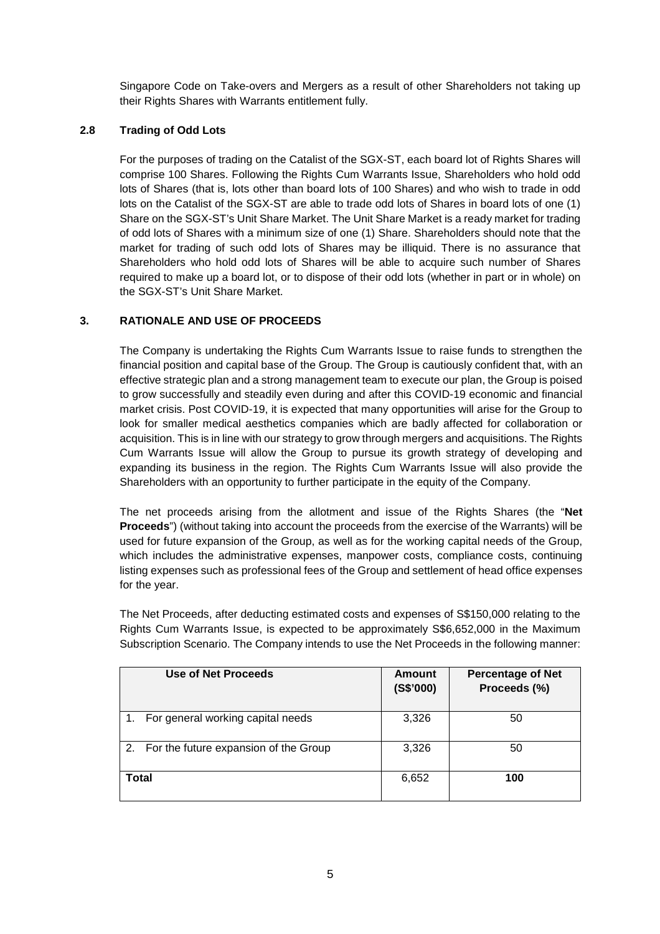Singapore Code on Take-overs and Mergers as a result of other Shareholders not taking up their Rights Shares with Warrants entitlement fully.

## **2.8 Trading of Odd Lots**

For the purposes of trading on the Catalist of the SGX-ST, each board lot of Rights Shares will comprise 100 Shares. Following the Rights Cum Warrants Issue, Shareholders who hold odd lots of Shares (that is, lots other than board lots of 100 Shares) and who wish to trade in odd lots on the Catalist of the SGX-ST are able to trade odd lots of Shares in board lots of one (1) Share on the SGX-ST's Unit Share Market. The Unit Share Market is a ready market for trading of odd lots of Shares with a minimum size of one (1) Share. Shareholders should note that the market for trading of such odd lots of Shares may be illiquid. There is no assurance that Shareholders who hold odd lots of Shares will be able to acquire such number of Shares required to make up a board lot, or to dispose of their odd lots (whether in part or in whole) on the SGX-ST's Unit Share Market.

## **3. RATIONALE AND USE OF PROCEEDS**

The Company is undertaking the Rights Cum Warrants Issue to raise funds to strengthen the financial position and capital base of the Group. The Group is cautiously confident that, with an effective strategic plan and a strong management team to execute our plan, the Group is poised to grow successfully and steadily even during and after this COVID-19 economic and financial market crisis. Post COVID-19, it is expected that many opportunities will arise for the Group to look for smaller medical aesthetics companies which are badly affected for collaboration or acquisition. This is in line with our strategy to grow through mergers and acquisitions. The Rights Cum Warrants Issue will allow the Group to pursue its growth strategy of developing and expanding its business in the region. The Rights Cum Warrants Issue will also provide the Shareholders with an opportunity to further participate in the equity of the Company.

The net proceeds arising from the allotment and issue of the Rights Shares (the "**Net Proceeds**") (without taking into account the proceeds from the exercise of the Warrants) will be used for future expansion of the Group, as well as for the working capital needs of the Group, which includes the administrative expenses, manpower costs, compliance costs, continuing listing expenses such as professional fees of the Group and settlement of head office expenses for the year.

The Net Proceeds, after deducting estimated costs and expenses of S\$150,000 relating to the Rights Cum Warrants Issue, is expected to be approximately S\$6,652,000 in the Maximum Subscription Scenario. The Company intends to use the Net Proceeds in the following manner:

| Use of Net Proceeds                      | Amount<br>(S\$'000) | <b>Percentage of Net</b><br>Proceeds (%) |
|------------------------------------------|---------------------|------------------------------------------|
| For general working capital needs        | 3,326               | 50                                       |
| 2. For the future expansion of the Group | 3,326               | 50                                       |
| Total                                    | 6,652               | 100                                      |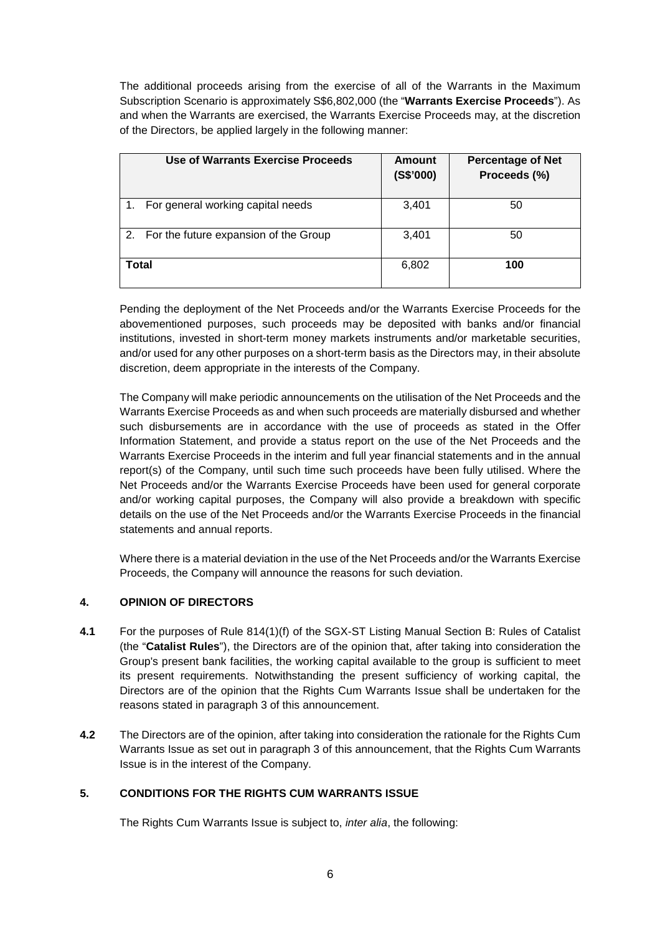The additional proceeds arising from the exercise of all of the Warrants in the Maximum Subscription Scenario is approximately S\$6,802,000 (the "**Warrants Exercise Proceeds**"). As and when the Warrants are exercised, the Warrants Exercise Proceeds may, at the discretion of the Directors, be applied largely in the following manner:

| Use of Warrants Exercise Proceeds        | Amount<br>(S\$'000) | <b>Percentage of Net</b><br>Proceeds (%) |
|------------------------------------------|---------------------|------------------------------------------|
| For general working capital needs        | 3,401               | 50                                       |
| 2. For the future expansion of the Group | 3,401               | 50                                       |
| Total                                    | 6,802               | 100                                      |

Pending the deployment of the Net Proceeds and/or the Warrants Exercise Proceeds for the abovementioned purposes, such proceeds may be deposited with banks and/or financial institutions, invested in short-term money markets instruments and/or marketable securities, and/or used for any other purposes on a short-term basis as the Directors may, in their absolute discretion, deem appropriate in the interests of the Company.

The Company will make periodic announcements on the utilisation of the Net Proceeds and the Warrants Exercise Proceeds as and when such proceeds are materially disbursed and whether such disbursements are in accordance with the use of proceeds as stated in the Offer Information Statement, and provide a status report on the use of the Net Proceeds and the Warrants Exercise Proceeds in the interim and full year financial statements and in the annual report(s) of the Company, until such time such proceeds have been fully utilised. Where the Net Proceeds and/or the Warrants Exercise Proceeds have been used for general corporate and/or working capital purposes, the Company will also provide a breakdown with specific details on the use of the Net Proceeds and/or the Warrants Exercise Proceeds in the financial statements and annual reports.

Where there is a material deviation in the use of the Net Proceeds and/or the Warrants Exercise Proceeds, the Company will announce the reasons for such deviation.

# **4. OPINION OF DIRECTORS**

- **4.1** For the purposes of Rule 814(1)(f) of the SGX-ST Listing Manual Section B: Rules of Catalist (the "**Catalist Rules**"), the Directors are of the opinion that, after taking into consideration the Group's present bank facilities, the working capital available to the group is sufficient to meet its present requirements. Notwithstanding the present sufficiency of working capital, the Directors are of the opinion that the Rights Cum Warrants Issue shall be undertaken for the reasons stated in paragraph 3 of this announcement.
- **4.2** The Directors are of the opinion, after taking into consideration the rationale for the Rights Cum Warrants Issue as set out in paragraph 3 of this announcement, that the Rights Cum Warrants Issue is in the interest of the Company.

# **5. CONDITIONS FOR THE RIGHTS CUM WARRANTS ISSUE**

The Rights Cum Warrants Issue is subject to, *inter alia*, the following: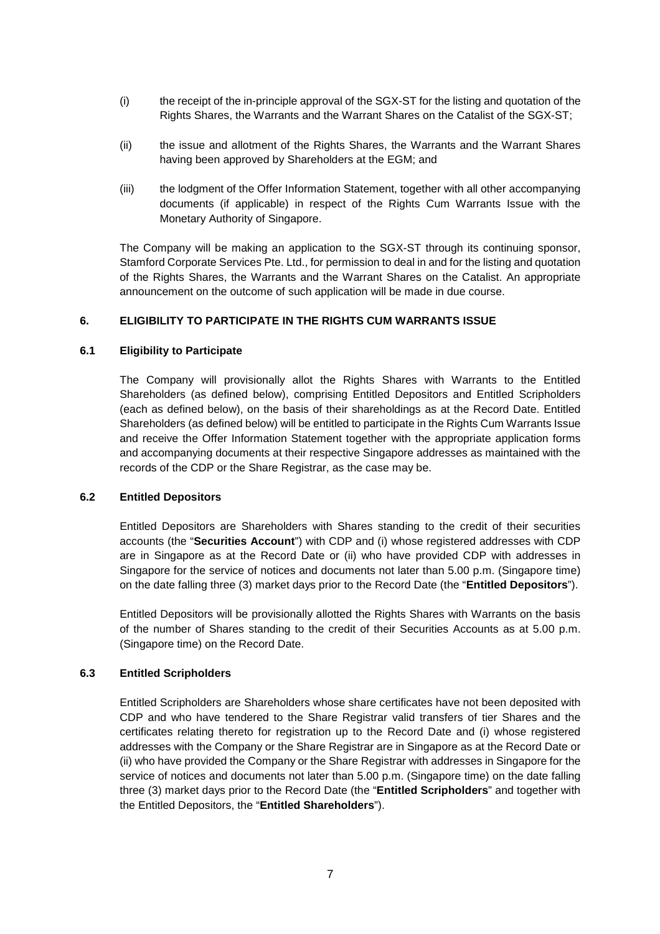- (i) the receipt of the in-principle approval of the SGX-ST for the listing and quotation of the Rights Shares, the Warrants and the Warrant Shares on the Catalist of the SGX-ST;
- (ii) the issue and allotment of the Rights Shares, the Warrants and the Warrant Shares having been approved by Shareholders at the EGM; and
- (iii) the lodgment of the Offer Information Statement, together with all other accompanying documents (if applicable) in respect of the Rights Cum Warrants Issue with the Monetary Authority of Singapore.

The Company will be making an application to the SGX-ST through its continuing sponsor, Stamford Corporate Services Pte. Ltd., for permission to deal in and for the listing and quotation of the Rights Shares, the Warrants and the Warrant Shares on the Catalist. An appropriate announcement on the outcome of such application will be made in due course.

### **6. ELIGIBILITY TO PARTICIPATE IN THE RIGHTS CUM WARRANTS ISSUE**

#### **6.1 Eligibility to Participate**

The Company will provisionally allot the Rights Shares with Warrants to the Entitled Shareholders (as defined below), comprising Entitled Depositors and Entitled Scripholders (each as defined below), on the basis of their shareholdings as at the Record Date. Entitled Shareholders (as defined below) will be entitled to participate in the Rights Cum Warrants Issue and receive the Offer Information Statement together with the appropriate application forms and accompanying documents at their respective Singapore addresses as maintained with the records of the CDP or the Share Registrar, as the case may be.

### **6.2 Entitled Depositors**

Entitled Depositors are Shareholders with Shares standing to the credit of their securities accounts (the "**Securities Account**") with CDP and (i) whose registered addresses with CDP are in Singapore as at the Record Date or (ii) who have provided CDP with addresses in Singapore for the service of notices and documents not later than 5.00 p.m. (Singapore time) on the date falling three (3) market days prior to the Record Date (the "**Entitled Depositors**").

Entitled Depositors will be provisionally allotted the Rights Shares with Warrants on the basis of the number of Shares standing to the credit of their Securities Accounts as at 5.00 p.m. (Singapore time) on the Record Date.

### **6.3 Entitled Scripholders**

Entitled Scripholders are Shareholders whose share certificates have not been deposited with CDP and who have tendered to the Share Registrar valid transfers of tier Shares and the certificates relating thereto for registration up to the Record Date and (i) whose registered addresses with the Company or the Share Registrar are in Singapore as at the Record Date or (ii) who have provided the Company or the Share Registrar with addresses in Singapore for the service of notices and documents not later than 5.00 p.m. (Singapore time) on the date falling three (3) market days prior to the Record Date (the "**Entitled Scripholders**" and together with the Entitled Depositors, the "**Entitled Shareholders**").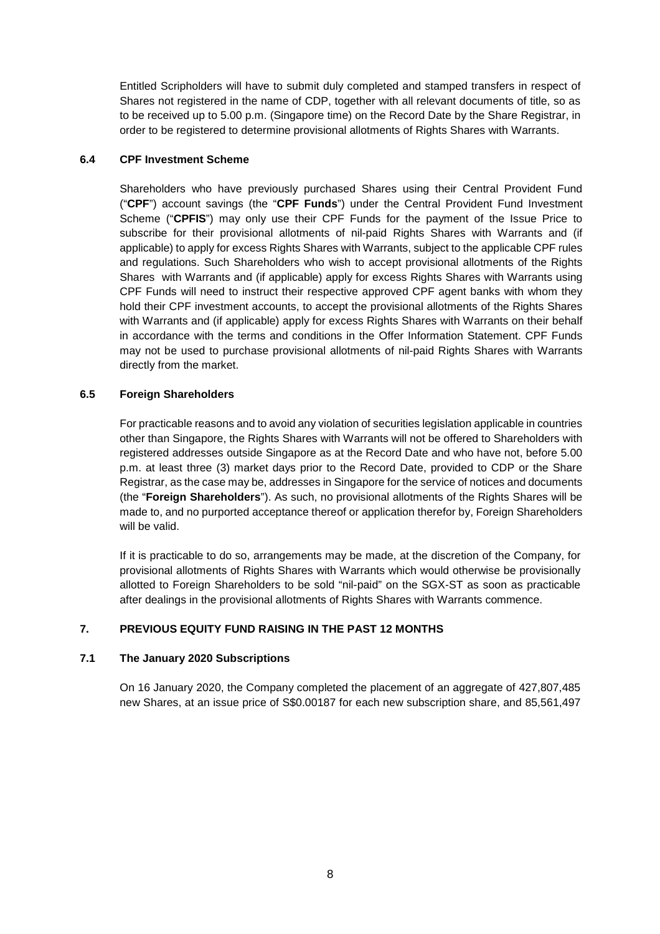Entitled Scripholders will have to submit duly completed and stamped transfers in respect of Shares not registered in the name of CDP, together with all relevant documents of title, so as to be received up to 5.00 p.m. (Singapore time) on the Record Date by the Share Registrar, in order to be registered to determine provisional allotments of Rights Shares with Warrants.

### **6.4 CPF Investment Scheme**

Shareholders who have previously purchased Shares using their Central Provident Fund ("**CPF**") account savings (the "**CPF Funds**") under the Central Provident Fund Investment Scheme ("**CPFIS**") may only use their CPF Funds for the payment of the Issue Price to subscribe for their provisional allotments of nil-paid Rights Shares with Warrants and (if applicable) to apply for excess Rights Shares with Warrants, subject to the applicable CPF rules and regulations. Such Shareholders who wish to accept provisional allotments of the Rights Shares with Warrants and (if applicable) apply for excess Rights Shares with Warrants using CPF Funds will need to instruct their respective approved CPF agent banks with whom they hold their CPF investment accounts, to accept the provisional allotments of the Rights Shares with Warrants and (if applicable) apply for excess Rights Shares with Warrants on their behalf in accordance with the terms and conditions in the Offer Information Statement. CPF Funds may not be used to purchase provisional allotments of nil-paid Rights Shares with Warrants directly from the market.

## **6.5 Foreign Shareholders**

For practicable reasons and to avoid any violation of securities legislation applicable in countries other than Singapore, the Rights Shares with Warrants will not be offered to Shareholders with registered addresses outside Singapore as at the Record Date and who have not, before 5.00 p.m. at least three (3) market days prior to the Record Date, provided to CDP or the Share Registrar, as the case may be, addresses in Singapore for the service of notices and documents (the "**Foreign Shareholders**"). As such, no provisional allotments of the Rights Shares will be made to, and no purported acceptance thereof or application therefor by, Foreign Shareholders will be valid.

If it is practicable to do so, arrangements may be made, at the discretion of the Company, for provisional allotments of Rights Shares with Warrants which would otherwise be provisionally allotted to Foreign Shareholders to be sold "nil-paid" on the SGX-ST as soon as practicable after dealings in the provisional allotments of Rights Shares with Warrants commence.

# **7. PREVIOUS EQUITY FUND RAISING IN THE PAST 12 MONTHS**

### **7.1 The January 2020 Subscriptions**

On 16 January 2020, the Company completed the placement of an aggregate of 427,807,485 new Shares, at an issue price of S\$0.00187 for each new subscription share, and 85,561,497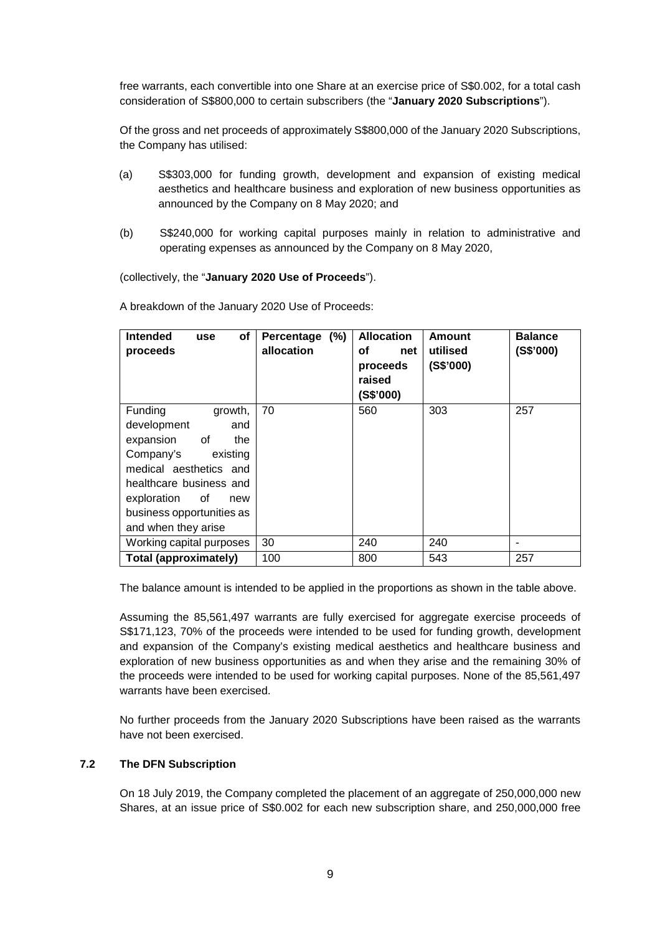free warrants, each convertible into one Share at an exercise price of S\$0.002, for a total cash consideration of S\$800,000 to certain subscribers (the "**January 2020 Subscriptions**").

Of the gross and net proceeds of approximately S\$800,000 of the January 2020 Subscriptions, the Company has utilised:

- (a) S\$303,000 for funding growth, development and expansion of existing medical aesthetics and healthcare business and exploration of new business opportunities as announced by the Company on 8 May 2020; and
- (b) S\$240,000 for working capital purposes mainly in relation to administrative and operating expenses as announced by the Company on 8 May 2020,

(collectively, the "**January 2020 Use of Proceeds**").

A breakdown of the January 2020 Use of Proceeds:

| <b>Intended</b><br>оf<br><b>use</b><br>proceeds | Percentage (%)<br>allocation | <b>Allocation</b><br>оf<br>net<br>proceeds<br>raised<br>(S\$'000) | Amount<br>utilised<br>(S\$'000) | <b>Balance</b><br>(S\$'000) |
|-------------------------------------------------|------------------------------|-------------------------------------------------------------------|---------------------------------|-----------------------------|
| Funding<br>growth,                              | 70                           | 560                                                               | 303                             | 257                         |
| development<br>and                              |                              |                                                                   |                                 |                             |
| expansion of<br>the                             |                              |                                                                   |                                 |                             |
| Company's<br>existing                           |                              |                                                                   |                                 |                             |
| medical aesthetics and                          |                              |                                                                   |                                 |                             |
| healthcare business and                         |                              |                                                                   |                                 |                             |
| exploration of<br>new                           |                              |                                                                   |                                 |                             |
| business opportunities as                       |                              |                                                                   |                                 |                             |
| and when they arise                             |                              |                                                                   |                                 |                             |
| Working capital purposes                        | 30                           | 240                                                               | 240                             |                             |
| <b>Total (approximately)</b>                    | 100                          | 800                                                               | 543                             | 257                         |

The balance amount is intended to be applied in the proportions as shown in the table above.

Assuming the 85,561,497 warrants are fully exercised for aggregate exercise proceeds of S\$171,123, 70% of the proceeds were intended to be used for funding growth, development and expansion of the Company's existing medical aesthetics and healthcare business and exploration of new business opportunities as and when they arise and the remaining 30% of the proceeds were intended to be used for working capital purposes. None of the 85,561,497 warrants have been exercised.

No further proceeds from the January 2020 Subscriptions have been raised as the warrants have not been exercised.

# **7.2 The DFN Subscription**

On 18 July 2019, the Company completed the placement of an aggregate of 250,000,000 new Shares, at an issue price of S\$0.002 for each new subscription share, and 250,000,000 free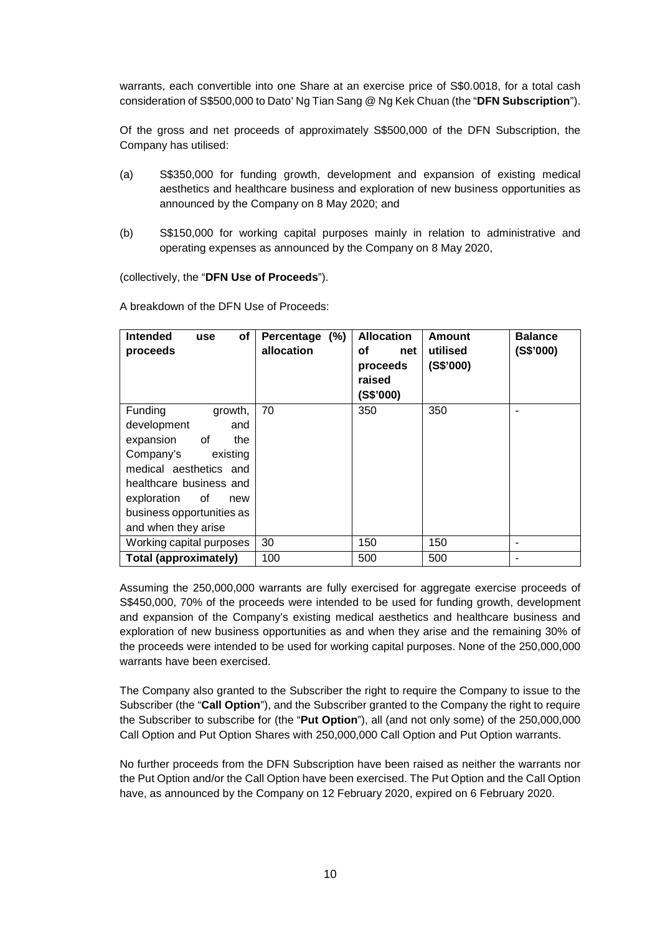warrants, each convertible into one Share at an exercise price of S\$0.0018, for a total cash consideration of S\$500,000 to Dato' Ng Tian Sang @ Ng Kek Chuan (the "**DFN Subscription**").

Of the gross and net proceeds of approximately S\$500,000 of the DFN Subscription, the Company has utilised:

- (a) S\$350,000 for funding growth, development and expansion of existing medical aesthetics and healthcare business and exploration of new business opportunities as announced by the Company on 8 May 2020; and
- (b) S\$150,000 for working capital purposes mainly in relation to administrative and operating expenses as announced by the Company on 8 May 2020,

(collectively, the "**DFN Use of Proceeds**").

A breakdown of the DFN Use of Proceeds:

| <b>Intended</b><br>οf<br>use<br>proceeds | Percentage (%)<br>allocation | <b>Allocation</b><br>οf<br>net<br>proceeds<br>raised<br>(S\$'000) | Amount<br>utilised<br>(S\$'000) | <b>Balance</b><br>(S\$'000) |
|------------------------------------------|------------------------------|-------------------------------------------------------------------|---------------------------------|-----------------------------|
| Funding<br>growth,                       | 70                           | 350                                                               | 350                             |                             |
| development<br>and                       |                              |                                                                   |                                 |                             |
| expansion of<br>the                      |                              |                                                                   |                                 |                             |
| Company's<br>existing                    |                              |                                                                   |                                 |                             |
| medical aesthetics and                   |                              |                                                                   |                                 |                             |
| healthcare business and                  |                              |                                                                   |                                 |                             |
| exploration of<br>new                    |                              |                                                                   |                                 |                             |
| business opportunities as                |                              |                                                                   |                                 |                             |
| and when they arise                      |                              |                                                                   |                                 |                             |
| Working capital purposes                 | 30                           | 150                                                               | 150                             |                             |
| <b>Total (approximately)</b>             | 100                          | 500                                                               | 500                             | $\overline{\phantom{0}}$    |

Assuming the 250,000,000 warrants are fully exercised for aggregate exercise proceeds of S\$450,000, 70% of the proceeds were intended to be used for funding growth, development and expansion of the Company's existing medical aesthetics and healthcare business and exploration of new business opportunities as and when they arise and the remaining 30% of the proceeds were intended to be used for working capital purposes. None of the 250,000,000 warrants have been exercised.

The Company also granted to the Subscriber the right to require the Company to issue to the Subscriber (the "**Call Option**"), and the Subscriber granted to the Company the right to require the Subscriber to subscribe for (the "**Put Option**"), all (and not only some) of the 250,000,000 Call Option and Put Option Shares with 250,000,000 Call Option and Put Option warrants.

No further proceeds from the DFN Subscription have been raised as neither the warrants nor the Put Option and/or the Call Option have been exercised. The Put Option and the Call Option have, as announced by the Company on 12 February 2020, expired on 6 February 2020.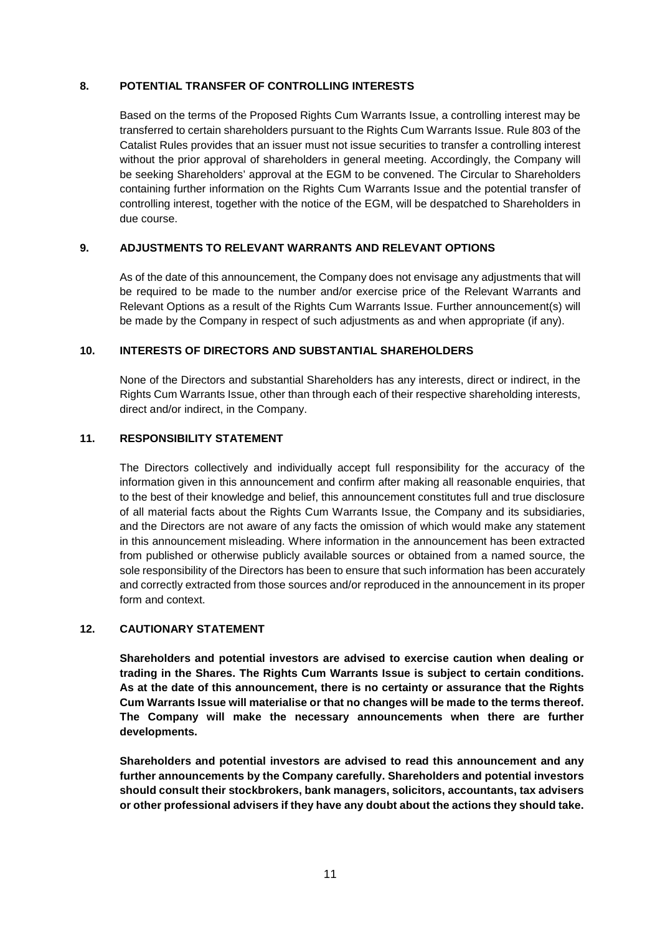### **8. POTENTIAL TRANSFER OF CONTROLLING INTERESTS**

Based on the terms of the Proposed Rights Cum Warrants Issue, a controlling interest may be transferred to certain shareholders pursuant to the Rights Cum Warrants Issue. Rule 803 of the Catalist Rules provides that an issuer must not issue securities to transfer a controlling interest without the prior approval of shareholders in general meeting. Accordingly, the Company will be seeking Shareholders' approval at the EGM to be convened. The Circular to Shareholders containing further information on the Rights Cum Warrants Issue and the potential transfer of controlling interest, together with the notice of the EGM, will be despatched to Shareholders in due course.

## **9. ADJUSTMENTS TO RELEVANT WARRANTS AND RELEVANT OPTIONS**

As of the date of this announcement, the Company does not envisage any adjustments that will be required to be made to the number and/or exercise price of the Relevant Warrants and Relevant Options as a result of the Rights Cum Warrants Issue. Further announcement(s) will be made by the Company in respect of such adjustments as and when appropriate (if any).

### **10. INTERESTS OF DIRECTORS AND SUBSTANTIAL SHAREHOLDERS**

None of the Directors and substantial Shareholders has any interests, direct or indirect, in the Rights Cum Warrants Issue, other than through each of their respective shareholding interests, direct and/or indirect, in the Company.

## **11. RESPONSIBILITY STATEMENT**

The Directors collectively and individually accept full responsibility for the accuracy of the information given in this announcement and confirm after making all reasonable enquiries, that to the best of their knowledge and belief, this announcement constitutes full and true disclosure of all material facts about the Rights Cum Warrants Issue, the Company and its subsidiaries, and the Directors are not aware of any facts the omission of which would make any statement in this announcement misleading. Where information in the announcement has been extracted from published or otherwise publicly available sources or obtained from a named source, the sole responsibility of the Directors has been to ensure that such information has been accurately and correctly extracted from those sources and/or reproduced in the announcement in its proper form and context.

# **12. CAUTIONARY STATEMENT**

**Shareholders and potential investors are advised to exercise caution when dealing or trading in the Shares. The Rights Cum Warrants Issue is subject to certain conditions. As at the date of this announcement, there is no certainty or assurance that the Rights Cum Warrants Issue will materialise or that no changes will be made to the terms thereof. The Company will make the necessary announcements when there are further developments.** 

**Shareholders and potential investors are advised to read this announcement and any further announcements by the Company carefully. Shareholders and potential investors should consult their stockbrokers, bank managers, solicitors, accountants, tax advisers or other professional advisers if they have any doubt about the actions they should take.**